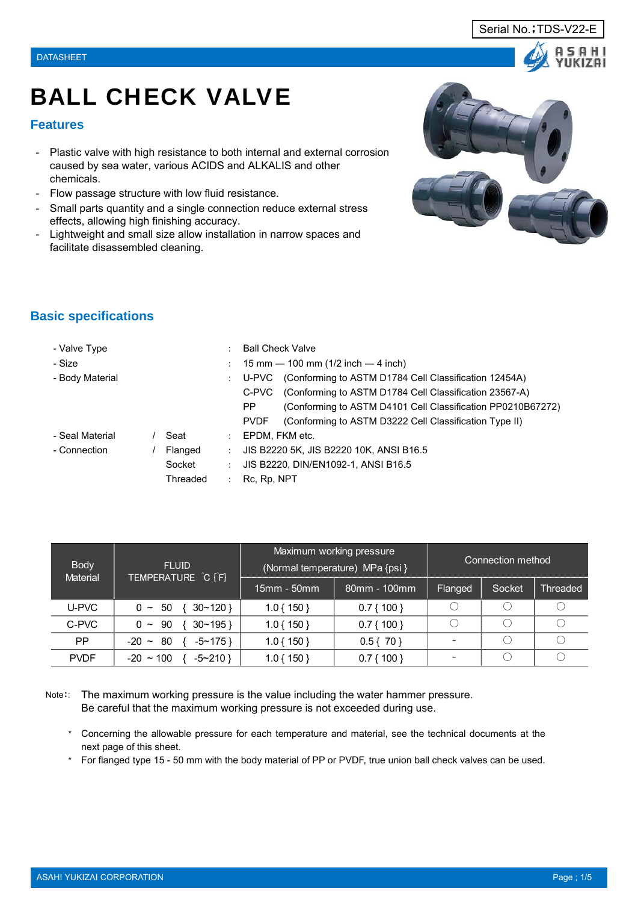#### **Features**

- Plastic valve with high resistance to both internal and external corrosion caused by sea water, various ACIDS and ALKALIS and other chemicals.
- Flow passage structure with low fluid resistance.
- Small parts quantity and a single connection reduce external stress effects, allowing high finishing accuracy.
- Lightweight and small size allow installation in narrow spaces and facilitate disassembled cleaning.



## **Basic specifications**

| - Valve Type    |                         | <b>Ball Check Valve</b>                                     |
|-----------------|-------------------------|-------------------------------------------------------------|
| - Size          |                         | 15 mm $-$ 100 mm (1/2 inch $-$ 4 inch)                      |
| - Body Material |                         | U-PVC (Conforming to ASTM D1784 Cell Classification 12454A) |
|                 | C-PVC                   | (Conforming to ASTM D1784 Cell Classification 23567-A)      |
|                 | PP                      | (Conforming to ASTM D4101 Cell Classification PP0210B67272) |
|                 | <b>PVDF</b>             | (Conforming to ASTM D3222 Cell Classification Type II)      |
| - Seal Material | Seat<br>÷               | EPDM, FKM etc.                                              |
| - Connection    | Flanged<br>÷            | JIS B2220 5K, JIS B2220 10K, ANSI B16.5                     |
|                 | Socket<br>÷             | JIS B2220, DIN/EN1092-1, ANSI B16.5                         |
|                 | Threaded<br>Rc, Rp, NPT |                                                             |

| <b>Body</b><br><b>Material</b> | <b>FLUID</b>                    |              | Maximum working pressure<br>(Normal temperature) MPa {psi } | Connection method |        |                 |  |  |  |
|--------------------------------|---------------------------------|--------------|-------------------------------------------------------------|-------------------|--------|-----------------|--|--|--|
|                                | TEMPERATURE C [F]               | 15mm - 50mm  | 80mm - 100mm                                                | Flanged           | Socket | <b>Threaded</b> |  |  |  |
| U-PVC                          | $\{30~120\}$<br>$0 \sim 50$     | $1.0\{150\}$ | $0.7\{100\}$                                                |                   |        |                 |  |  |  |
| C-PVC                          | $30 - 195$<br>$0 \sim 90$       | $1.0\{150\}$ | $0.7\{100\}$                                                |                   |        |                 |  |  |  |
| PP                             | $-20 \sim 80$<br>$-5$ ~ 175 }   | $1.0\{150\}$ | $0.5\{70\}$                                                 |                   |        |                 |  |  |  |
| <b>PVDF</b>                    | $-20 \sim 100$<br>$-5$ $-210$ } | $1.0\{150\}$ | $0.7\{100\}$                                                |                   |        |                 |  |  |  |

Note:: The maximum working pressure is the value including the water hammer pressure. Be careful that the maximum working pressure is not exceeded during use.

- \* Concerning the allowable pressure for each temperature and material, see the technical documents at the next page of this sheet.
- \* For flanged type 15 50 mm with the body material of PP or PVDF, true union ball check valves can be used.

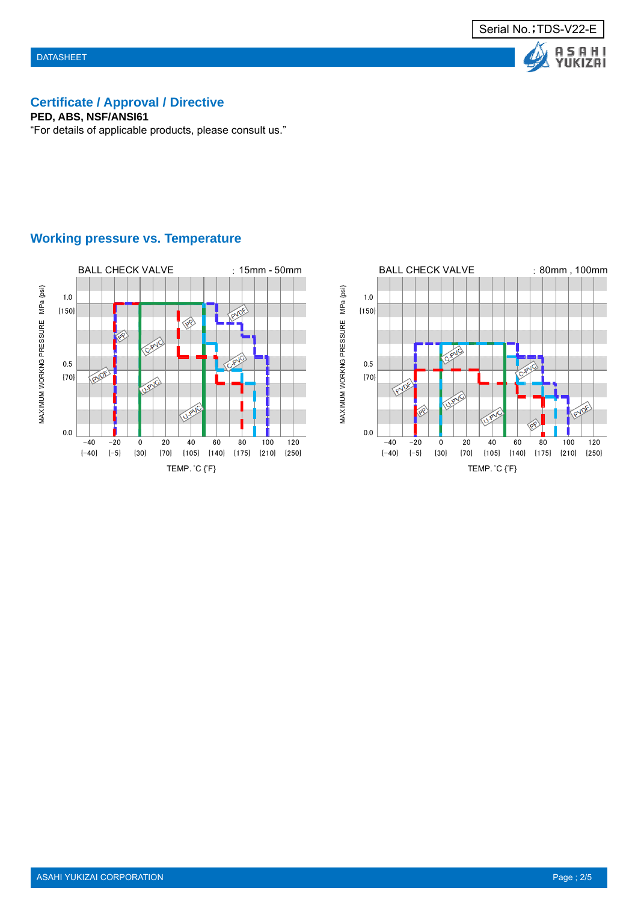



# **Certificate / Approval / Directive**

**PED, ABS, NSF/ANSI61**

"For details of applicable products, please consult us."



## **Working pressure vs. Temperature**

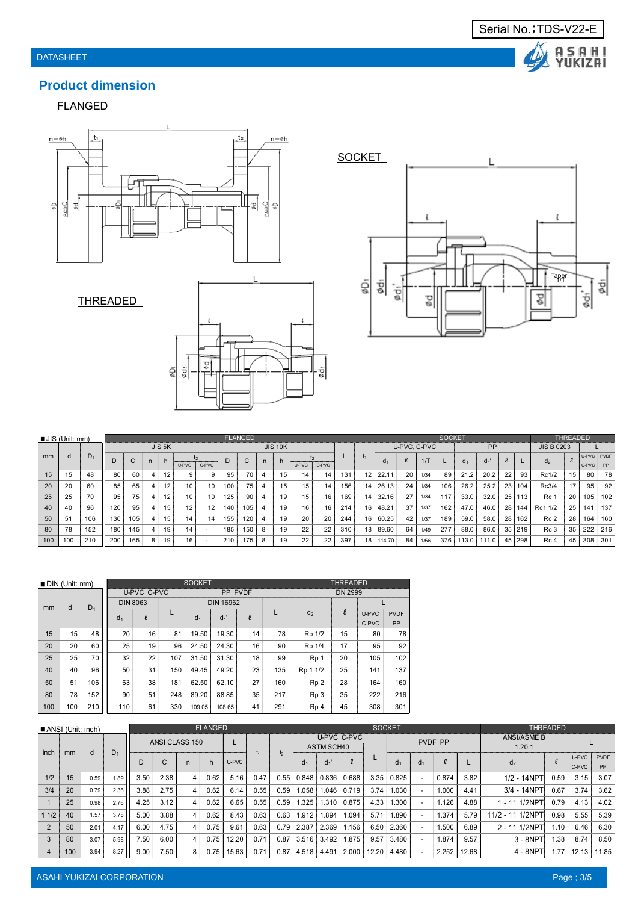

FLANGED







Serial No.; TDS-V22-E

Δ

A S A H I<br>YUKIZAI

|     | $JIS$ (Unit: mm) |       |     |              |              |        |       |       |     | <b>FLANGED</b> |              |                |       |       |     | <b>SOCKET</b>  |                |              |              |     |                | <b>THREADED</b> |    |          |                   |    |                     |     |
|-----|------------------|-------|-----|--------------|--------------|--------|-------|-------|-----|----------------|--------------|----------------|-------|-------|-----|----------------|----------------|--------------|--------------|-----|----------------|-----------------|----|----------|-------------------|----|---------------------|-----|
|     |                  |       |     |              |              | JIS 5K |       |       |     |                |              | <b>JIS 10K</b> |       |       |     |                |                | U-PVC, C-PVC |              |     |                | PP              |    |          | <b>JIS B 0203</b> |    |                     |     |
| mm  | d                | $D_1$ |     | $\sim$<br>U. | $\mathsf{n}$ |        | U-PVC | C-PVC |     | $\sim$<br>U    | $\mathsf{n}$ | n              | U-PVC | C-PVC |     | I <sub>1</sub> | Q <sub>1</sub> |              | $1/\text{T}$ |     | d <sub>1</sub> | $d_1'$          |    |          | d <sub>2</sub>    |    | U-PVC PVDF<br>C-PVC | PP  |
| 15  | 15               | 48    | 80  | 60           |              |        |       | 9     | 95  | 70             | 4            | 15             | 14    | 14    | 131 | 12             | 22.11          | 20           | 1/34         | 89  | 21.2           | 20.2            | 22 | 93       | Rc1/2             | 15 | 80                  | 78  |
| 20  | 20               | 60    | 85  | 65           |              | 12     | 10    | 10    | 100 | 75             | 4            | 15.            | 15    | 14    | 156 | 141            | 26.13          | 24           | 1/34         | 106 | 26.2           | 25.2            |    | 23   104 | Rc3/4             | 17 | 95                  | 92  |
| 25  | 25               | 70    | 95  | 75           |              | 12     | 10    | 10    | 125 | 90             | 4            | 19             | 15    | 16    | 169 |                | 14 32.16       | 27           | 1/34         | 117 | 33.0           | 32.0            |    | 25   113 | Rc 1              | 20 | 105                 | 102 |
| 40  | 40               | 96    | 120 | 95           |              | 15     | 12    | 12    | 140 | 105            | 4            | 19             | 16    | 16    | 214 | 16             | 48.21          | 37           | 1/37         | 162 | 47.0           | 46.0            | 28 | 144.     | Rc1 1/2           | 25 | 141                 | 137 |
| 50  | 51               | 106   | 130 | 105          |              | 15     | 14    | 14    | 155 | 120            | 4            | 19.            | 20    | 20    | 244 |                | 16 60.25       | 42           | 1/37         | 189 | 59.0           | 58.0            | 28 | 162      | Rc 2              | 28 | 164                 | 160 |
| 80  | 78               | 152   | 180 | 145          |              | 19     | 14    |       | 185 | 150            | 8            | 19             | 22    | 22    | 310 |                | 18 89.60       | 64           | 1/49         | 277 | 88.0           | 86.0            |    | 35 219   | Rc <sub>3</sub>   | 35 | 222                 | 216 |
| 100 | 100              | 210   | 200 | 165          |              | 19     | 16    |       | 210 | 175            | 8            | 19             | 22    | 22    | 397 |                | 18 114.70      | 84           | 1/56         | 376 | 113.0          | 111.0           | 45 | 298      | Rc 4              | 45 | 308                 | 301 |

|     | $\blacksquare$ DIN (Unit: mm) |       |                |                 |     | <b>SOCKET</b>  |                  |        |     | <b>THREADED</b> |        |       |             |  |  |
|-----|-------------------------------|-------|----------------|-----------------|-----|----------------|------------------|--------|-----|-----------------|--------|-------|-------------|--|--|
|     |                               | $D_1$ |                | U-PVC C-PVC     |     |                | PP PVDF          |        |     | <b>DN 2999</b>  |        |       |             |  |  |
| mm  | d                             |       |                | <b>DIN 8063</b> |     |                | <b>DIN 16962</b> |        |     |                 |        |       |             |  |  |
|     |                               |       | d <sub>1</sub> | $\ell$          | L   | d <sub>1</sub> | $d_1$            | $\ell$ |     | d <sub>2</sub>  | $\ell$ | U-PVC | <b>PVDF</b> |  |  |
|     |                               |       |                |                 |     |                |                  |        |     |                 |        | C-PVC | PP          |  |  |
| 15  | 15                            | 48    | 20             | 16              | 81  | 19.50          | 19.30            | 14     | 78  | Rp 1/2          | 15     | 80    | 78          |  |  |
| 20  | 20                            | 60    | 25             | 19              | 96  | 24.50          | 24.30            | 16     | 90  | Rp 1/4          | 17     | 95    | 92          |  |  |
| 25  | 25                            | 70    | 32             | 22              | 107 | 31.50          | 31.30            | 18     | 99  | Rp <sub>1</sub> | 20     | 105   | 102         |  |  |
| 40  | 40                            | 96    | 50             | 31              | 150 | 49.45          | 49.20            | 23     | 135 | Rp 1 1/2        | 25     | 141   | 137         |  |  |
| 50  | 51                            | 106   | 63             | 38              | 181 | 62.50          | 62.10            | 27     | 160 | Rp <sub>2</sub> | 28     | 164   | 160         |  |  |
| 80  | 78                            | 152   | 90             | 51              | 248 | 89.20          | 88.85            | 35     | 217 | Rp <sub>3</sub> | 35     | 222   | 216         |  |  |
| 100 | 100                           | 210   | 110            | 61              | 330 | 109.05         | 108.65           | 41     | 291 | Rp <sub>4</sub> | 45     | 308   | 301         |  |  |

| $\blacksquare$ ANSI (Unit: inch) |     |      |       |      |                |   | <b>FLANGED</b> |       |      |                | <b>SOCKET</b>  |                   |             |       |                         |         |               |      | <b>THREADED</b>              |       |                |                   |
|----------------------------------|-----|------|-------|------|----------------|---|----------------|-------|------|----------------|----------------|-------------------|-------------|-------|-------------------------|---------|---------------|------|------------------------------|-------|----------------|-------------------|
| inch                             | mm  | d    | $D_1$ |      | ANSI CLASS 150 |   |                |       | t.   |                |                | <b>ASTM SCH40</b> | U-PVC C-PVC |       |                         | PVDF PP |               |      | <b>ANSI/ASME B</b><br>1.20.1 |       |                |                   |
|                                  |     |      |       | D    | C              | n | h              | U-PVC |      | $\mathfrak{b}$ | d <sub>1</sub> | $d_1$             |             |       | d <sub>1</sub>          | $d_1$   |               |      | d <sub>2</sub>               |       | U-PVC<br>C-PVC | <b>PVDF</b><br>PP |
| 1/2                              | 15  | 0.59 | 1.89  | 3.50 | 2.38           | 4 | 0.62           | 5.16  | 0.47 | 0.55           | 0.848          | 0.836             | 0.688       | 3.35  | 0.825                   |         | 0.874         | 3.82 | 1/2 - 14NPT                  | 0.59  | 3.15           | 3.07              |
| 3/4                              | 20  | 0.79 | 2.36  | 3.88 | 2.75           | 4 | 0.62           | 6.14  | 0.55 | 0.59           | 1.058          | .046              | 0.719       | 3.74  | 1.030                   |         | 1.000<br>4.41 |      | 3/4 - 14NPT                  | 0.67  | 3.74           | 3.62              |
|                                  | 25  | 0.98 | 2.76  | 4.25 | 3.12           | 4 | 0.62           | 6.65  | 0.55 | 0.59           | 1.325          | .310              | 0.875       | 4.33  | .300                    |         | 1.126         | 4.88 | 1/2NPT<br>$-11$              | 0.79  | 4.13           | 4.02              |
| 11/2                             | 40  | 1.57 | 3.78  | 5.00 | 3.88           | 4 | 0.62           | 8.43  | 0.63 | 0.63           | 1.912          | .894              | 1.094       | 5.71  | .890                    |         | .374          | 5.79 | 11/2 - 11 1/2NPT             | 0.98  | 5.55           | 5.39              |
|                                  | 50  | 2.01 | 4.17  | 6.00 | 4.75           | 4 | 0.75           | 9.61  | 0.63 | 0.79           | 2.387          | 2.369             | 1.156       | 6.50  | 2.360                   |         | .500          | 6.89 | 2 - 11 1/2NPT                | 1.10  | 6.46           | 6.30              |
|                                  | 80  | 3.07 | 5.98  | 7.50 | 6.00           | 4 | 0.75           | 12.20 | 0.71 | 0.87           | 3.516          | 3.492             | 1.875       | 9.57  | 3.480                   |         | .874          | 9.57 | $3 - 8$ NPT                  | .38   | 8.74           | 8.50              |
|                                  | 100 | 3.94 | 8.27  | 9.00 | 7.50           | 8 | 0.75           | 15.63 | 0.71 | 0.87           | 4.518          | 4.491             | 2.000       | 12.20 | 2.252<br>12.68<br>4.480 |         | $4 - 8NP$     | 1.77 | 12.13                        | 11.85 |                |                   |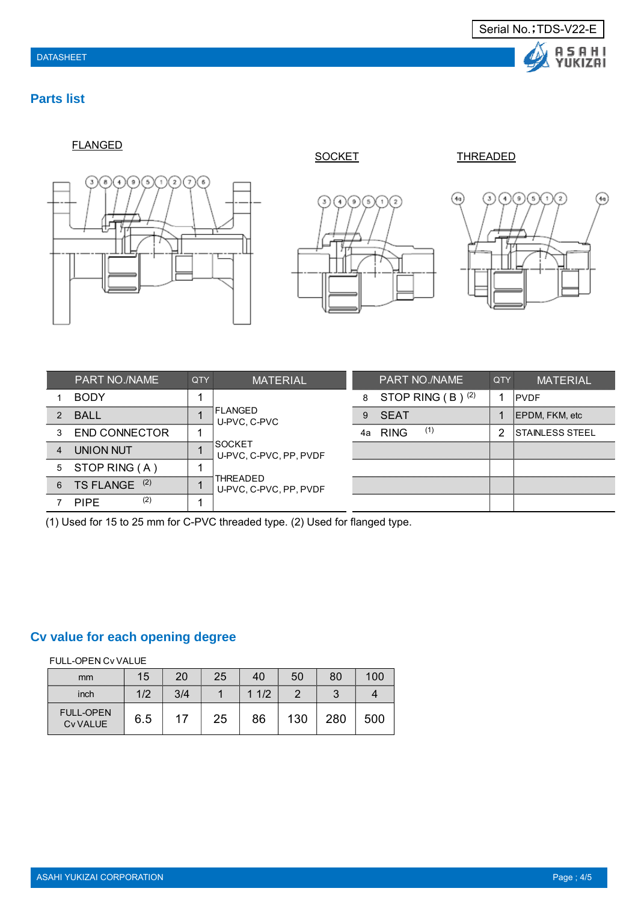

### **Parts list**

FLANGED



ூ  $\sqrt{5}$  $\sqrt{2}$ 

SOCKET THREADED



|                | <b>PART NO./NAME</b>    | <b>QTY</b>              | <b>MATERIAL</b>                    |    | <b>PART NO./NAME</b>  | QTY | <b>MATERIAL</b>        |
|----------------|-------------------------|-------------------------|------------------------------------|----|-----------------------|-----|------------------------|
|                | <b>BODY</b>             |                         |                                    | 8  | STOP RING $(B)$ $(2)$ |     | <b>PVDF</b>            |
| 2              | <b>BALL</b>             |                         | IFLANGED<br>U-PVC, C-PVC           | 9  | SEAT                  |     | EPDM, FKM, etc         |
| 3              | <b>END CONNECTOR</b>    |                         |                                    | 4a | (1)<br><b>RING</b>    |     | <b>STAINLESS STEEL</b> |
| $\overline{4}$ | <b>UNION NUT</b>        | $\overline{\mathbf{A}}$ | ISOCKET<br>U-PVC, C-PVC, PP, PVDF  |    |                       |     |                        |
|                | 5 STOP RING (A)         |                         |                                    |    |                       |     |                        |
| 6              | (2)<br><b>TS FLANGE</b> | 1                       | THREADED<br>U-PVC, C-PVC, PP, PVDF |    |                       |     |                        |
|                | (2)<br><b>PIPE</b>      |                         |                                    |    |                       |     |                        |

(1) Used for 15 to 25 mm for C-PVC threaded type. (2) Used for flanged type.

## **Cv value for each opening degree**

FULL-OPEN Cv VALUE

| mm                                 | 15  | 20  | 25 | 40   | 50  | 80  | 100 |
|------------------------------------|-----|-----|----|------|-----|-----|-----|
| inch                               | 1/2 | 3/4 |    | 11/2 |     |     |     |
| <b>FULL-OPEN</b><br><b>CvVALUE</b> | 6.5 | 17  | 25 | 86   | 130 | 280 | 500 |